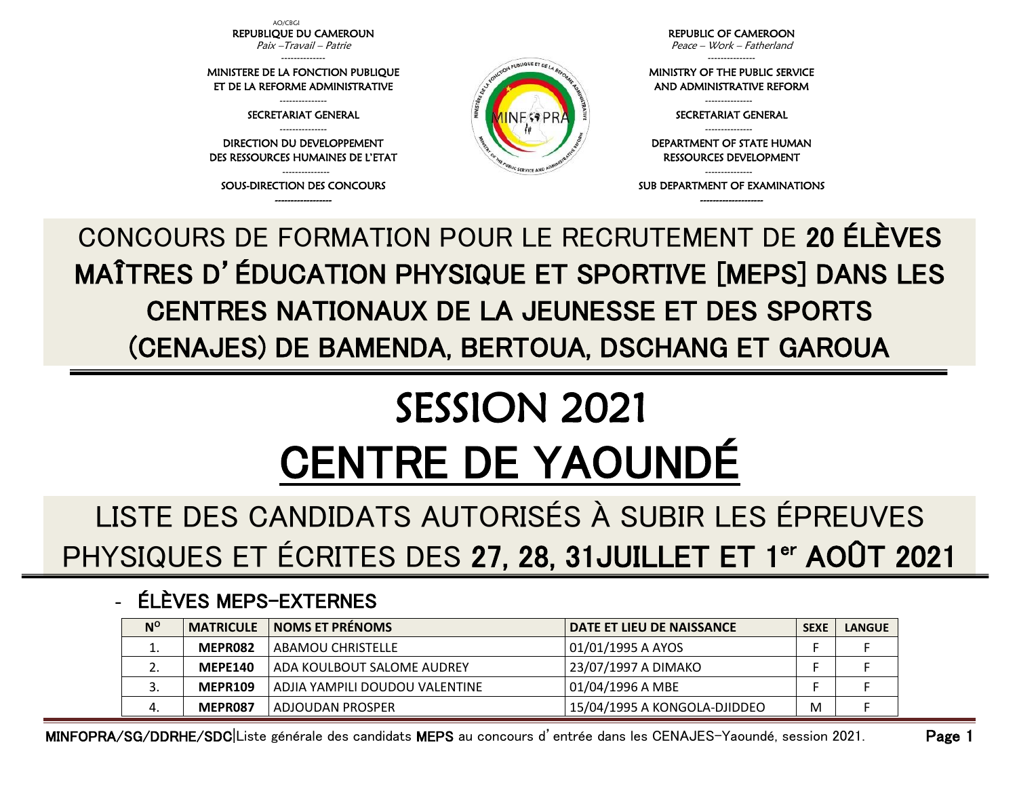AO/CBGI REPUBLIQUE DU CAMEROUN Paix –Travail – Patrie

-------------- MINISTERE DE LA FONCTION PUBLIQUE ET DE LA REFORME ADMINISTRATIVE

> --------------- SECRETARIAT GENERAL

--------------- DIRECTION DU DEVELOPPEMENT DES RESSOURCES HUMAINES DE L'ETAT

--------------- SOUS-DIRECTION DES CONCOURS ------------------



REPUBLIC OF CAMEROON

Peace – Work – Fatherland ---------------

MINISTRY OF THE PUBLIC SERVICE AND ADMINISTRATIVE REFORM

> --------------- SECRETARIAT GENERAL ---------------

DEPARTMENT OF STATE HUMAN RESSOURCES DEVELOPMENT

--------------- SUB DEPARTMENT OF EXAMINATIONS --------------------

CONCOURS DE FORMATION POUR LE RECRUTEMENT DE 20 ÉLÈVES MAÎTRES D'ÉDUCATION PHYSIQUE ET SPORTIVE [MEPS] DANS LES CENTRES NATIONAUX DE LA JEUNESSE ET DES SPORTS (CENAJES) DE BAMENDA, BERTOUA, DSCHANG ET GAROUA

## SESSION 2021 CENTRE DE YAOUNDÉ

LISTE DES CANDIDATS AUTORISÉS À SUBIR LES ÉPREUVES PHYSIQUES ET ÉCRITES DES 27, 28, 31JUILLET ET 1<sup>er</sup> AOÛT 2021

## - ÉLÈVES MEPS-EXTERNES

| $N^{O}$ | <b>MATRICULE</b> | <b>NOMS ET PRENOMS</b>         | <b>DATE ET LIEU DE NAISSANCE</b> | <b>SEXE</b> | <b>LANGUE</b> |
|---------|------------------|--------------------------------|----------------------------------|-------------|---------------|
| ⊥.      | MEPR082          | ABAMOU CHRISTELLE              | 01/01/1995 A AYOS                |             |               |
|         | <b>MEPE140</b>   | ADA KOULBOUT SALOME AUDREY     | 23/07/1997 A DIMAKO              |             |               |
|         | <b>MEPR109</b>   | ADJIA YAMPILI DOUDOU VALENTINE | 01/04/1996 A MBE                 |             |               |
|         | MEPR087          | ADJOUDAN PROSPER               | 15/04/1995 A KONGOLA-DJIDDEO     | M           |               |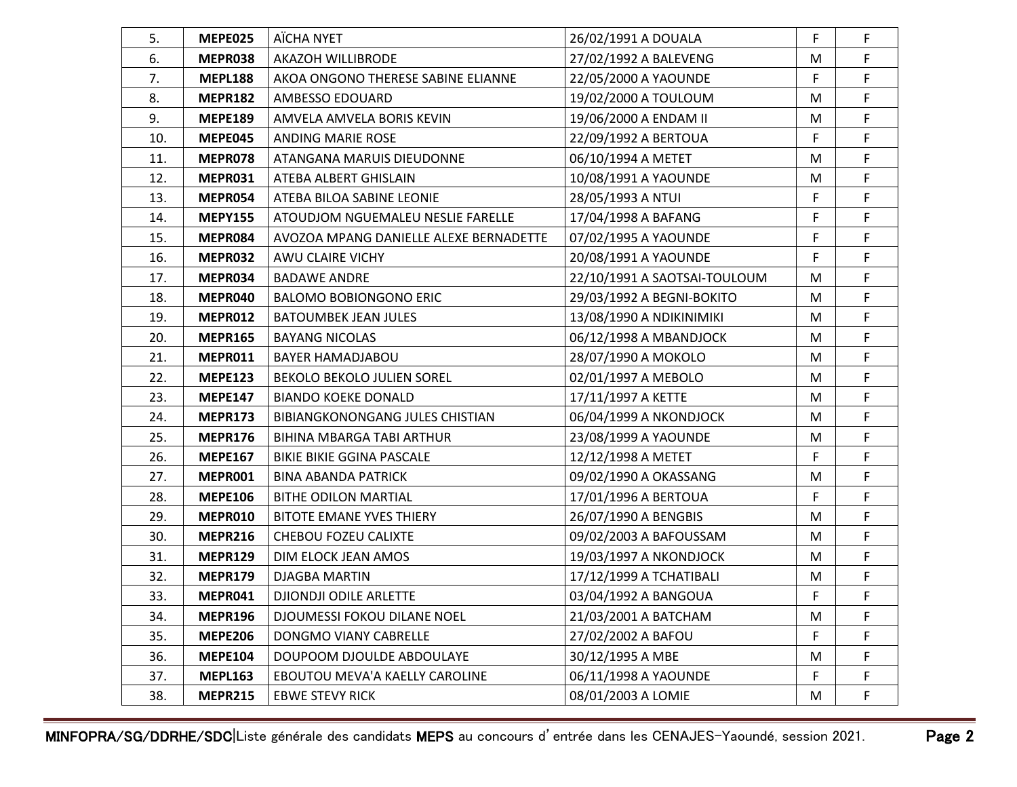| 5.  | <b>MEPE025</b> | AÏCHA NYET                             | 26/02/1991 A DOUALA          | F | F  |
|-----|----------------|----------------------------------------|------------------------------|---|----|
| 6.  | MEPR038        | <b>AKAZOH WILLIBRODE</b>               | 27/02/1992 A BALEVENG        | M | F  |
| 7.  | <b>MEPL188</b> | AKOA ONGONO THERESE SABINE ELIANNE     | 22/05/2000 A YAOUNDE         | F | F  |
| 8.  | <b>MEPR182</b> | AMBESSO EDOUARD                        | 19/02/2000 A TOULOUM         | M | F  |
| 9.  | <b>MEPE189</b> | AMVELA AMVELA BORIS KEVIN              | 19/06/2000 A ENDAM II        | M | F. |
| 10. | <b>MEPE045</b> | <b>ANDING MARIE ROSE</b>               | 22/09/1992 A BERTOUA         | F | F  |
| 11. | MEPR078        | ATANGANA MARUIS DIEUDONNE              | 06/10/1994 A METET           | M | F  |
| 12. | MEPR031        | ATEBA ALBERT GHISLAIN                  | 10/08/1991 A YAOUNDE         | M | F. |
| 13. | MEPR054        | ATEBA BILOA SABINE LEONIE              | 28/05/1993 A NTUI            | F | F  |
| 14. | <b>MEPY155</b> | ATOUDJOM NGUEMALEU NESLIE FARELLE      | 17/04/1998 A BAFANG          | F | F  |
| 15. | MEPR084        | AVOZOA MPANG DANIELLE ALEXE BERNADETTE | 07/02/1995 A YAOUNDE         | F | F  |
| 16. | MEPR032        | AWU CLAIRE VICHY                       | 20/08/1991 A YAOUNDE         | F | F  |
| 17. | MEPR034        | <b>BADAWE ANDRE</b>                    | 22/10/1991 A SAOTSAI-TOULOUM | M | F  |
| 18. | MEPR040        | <b>BALOMO BOBIONGONO ERIC</b>          | 29/03/1992 A BEGNI-BOKITO    | M | F  |
| 19. | MEPR012        | <b>BATOUMBEK JEAN JULES</b>            | 13/08/1990 A NDIKINIMIKI     | M | F  |
| 20. | <b>MEPR165</b> | <b>BAYANG NICOLAS</b>                  | 06/12/1998 A MBANDJOCK       | M | F  |
| 21. | MEPR011        | BAYER HAMADJABOU                       | 28/07/1990 A MOKOLO          | M | F  |
| 22. | <b>MEPE123</b> | BEKOLO BEKOLO JULIEN SOREL             | 02/01/1997 A MEBOLO          | M | F  |
| 23. | <b>MEPE147</b> | <b>BIANDO KOEKE DONALD</b>             | 17/11/1997 A KETTE           | M | F  |
| 24. | <b>MEPR173</b> | BIBIANGKONONGANG JULES CHISTIAN        | 06/04/1999 A NKONDJOCK       | M | F  |
| 25. | <b>MEPR176</b> | BIHINA MBARGA TABI ARTHUR              | 23/08/1999 A YAOUNDE         | M | F  |
| 26. | <b>MEPE167</b> | <b>BIKIE BIKIE GGINA PASCALE</b>       | 12/12/1998 A METET           | F | F  |
| 27. | MEPR001        | <b>BINA ABANDA PATRICK</b>             | 09/02/1990 A OKASSANG        | M | F  |
| 28. | <b>MEPE106</b> | <b>BITHE ODILON MARTIAL</b>            | 17/01/1996 A BERTOUA         | F | F  |
| 29. | MEPR010        | <b>BITOTE EMANE YVES THIERY</b>        | 26/07/1990 A BENGBIS         | M | F  |
| 30. | <b>MEPR216</b> | CHEBOU FOZEU CALIXTE                   | 09/02/2003 A BAFOUSSAM       | M | F  |
| 31. | <b>MEPR129</b> | DIM ELOCK JEAN AMOS                    | 19/03/1997 A NKONDJOCK       | M | F  |
| 32. | <b>MEPR179</b> | DJAGBA MARTIN                          | 17/12/1999 A TCHATIBALI      | M | F  |
| 33. | MEPR041        | DJIONDJI ODILE ARLETTE                 | 03/04/1992 A BANGOUA         | F | F  |
| 34. | <b>MEPR196</b> | DJOUMESSI FOKOU DILANE NOEL            | 21/03/2001 A BATCHAM         | M | F  |
| 35. | <b>MEPE206</b> | DONGMO VIANY CABRELLE                  | 27/02/2002 A BAFOU           | F | F  |
| 36. | <b>MEPE104</b> | DOUPOOM DJOULDE ABDOULAYE              | 30/12/1995 A MBE             | M | F  |
| 37. | <b>MEPL163</b> | EBOUTOU MEVA'A KAELLY CAROLINE         | 06/11/1998 A YAOUNDE         | F | F  |
| 38. | <b>MEPR215</b> | <b>EBWE STEVY RICK</b>                 | 08/01/2003 A LOMIE           | M | F. |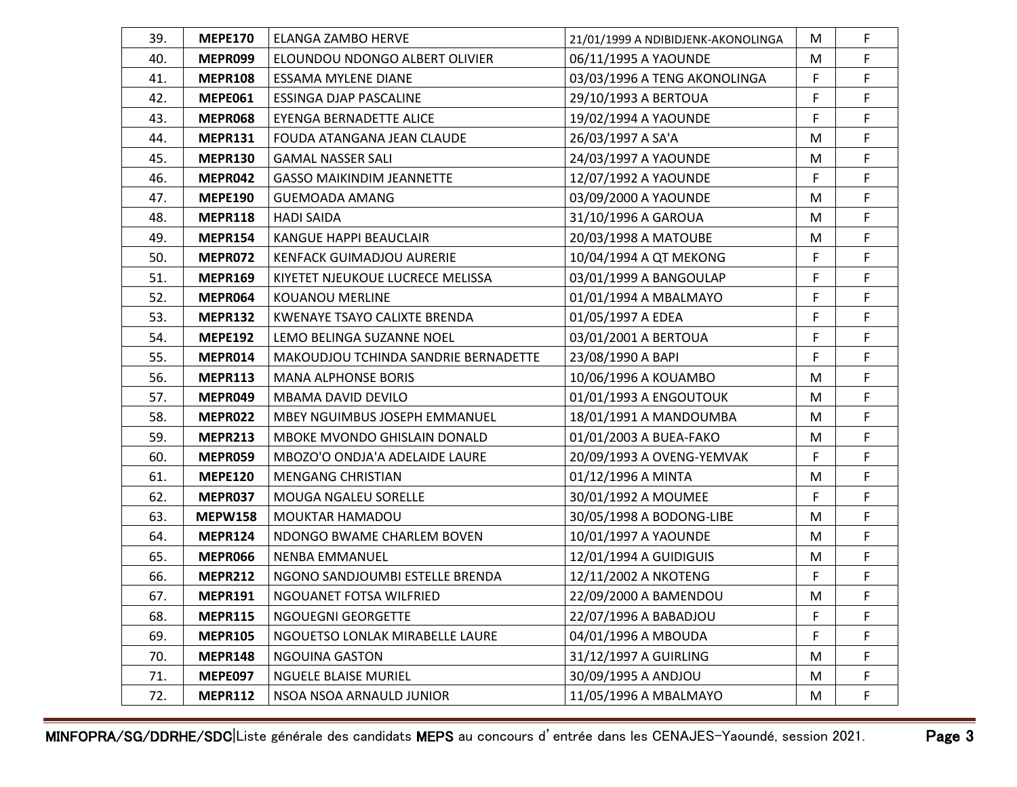| 39. | <b>MEPE170</b> | ELANGA ZAMBO HERVE                   | 21/01/1999 A NDIBIDJENK-AKONOLINGA | M  | $\mathsf F$ |
|-----|----------------|--------------------------------------|------------------------------------|----|-------------|
| 40. | MEPR099        | ELOUNDOU NDONGO ALBERT OLIVIER       | 06/11/1995 A YAOUNDE               | M  | F           |
| 41. | <b>MEPR108</b> | ESSAMA MYLENE DIANE                  | 03/03/1996 A TENG AKONOLINGA       | F  | F           |
| 42. | <b>MEPE061</b> | <b>ESSINGA DJAP PASCALINE</b>        | 29/10/1993 A BERTOUA               | F  | F           |
| 43. | MEPR068        | EYENGA BERNADETTE ALICE              | 19/02/1994 A YAOUNDE               | F. | F           |
| 44. | <b>MEPR131</b> | FOUDA ATANGANA JEAN CLAUDE           | 26/03/1997 A SA'A                  | M  | F           |
| 45. | <b>MEPR130</b> | <b>GAMAL NASSER SALI</b>             | 24/03/1997 A YAOUNDE               | M  | F           |
| 46. | MEPR042        | <b>GASSO MAIKINDIM JEANNETTE</b>     | 12/07/1992 A YAOUNDE               | F  | F           |
| 47. | <b>MEPE190</b> | <b>GUEMOADA AMANG</b>                | 03/09/2000 A YAOUNDE               | M  | F           |
| 48. | <b>MEPR118</b> | <b>HADI SAIDA</b>                    | 31/10/1996 A GAROUA                | M  | F           |
| 49. | <b>MEPR154</b> | KANGUE HAPPI BEAUCLAIR               | 20/03/1998 A MATOUBE               | M  | F           |
| 50. | MEPR072        | <b>KENFACK GUIMADJOU AURERIE</b>     | 10/04/1994 A QT MEKONG             | F  | F           |
| 51. | <b>MEPR169</b> | KIYETET NJEUKOUE LUCRECE MELISSA     | 03/01/1999 A BANGOULAP             | F  | F           |
| 52. | MEPR064        | <b>KOUANOU MERLINE</b>               | 01/01/1994 A MBALMAYO              | F  | F           |
| 53. | <b>MEPR132</b> | KWENAYE TSAYO CALIXTE BRENDA         | 01/05/1997 A EDEA                  | F  | F           |
| 54. | <b>MEPE192</b> | LEMO BELINGA SUZANNE NOEL            | 03/01/2001 A BERTOUA               | F  | F           |
| 55. | MEPR014        | MAKOUDJOU TCHINDA SANDRIE BERNADETTE | 23/08/1990 A BAPI                  | F. | F           |
| 56. | <b>MEPR113</b> | <b>MANA ALPHONSE BORIS</b>           | 10/06/1996 A KOUAMBO               | M  | F           |
| 57. | MEPR049        | MBAMA DAVID DEVILO                   | 01/01/1993 A ENGOUTOUK             | M  | F           |
| 58. | MEPR022        | MBEY NGUIMBUS JOSEPH EMMANUEL        | 18/01/1991 A MANDOUMBA             | M  | F           |
| 59. | <b>MEPR213</b> | MBOKE MVONDO GHISLAIN DONALD         | 01/01/2003 A BUEA-FAKO             | M  | F           |
| 60. | MEPR059        | MBOZO'O ONDJA'A ADELAIDE LAURE       | 20/09/1993 A OVENG-YEMVAK          | F  | F           |
| 61. | <b>MEPE120</b> | <b>MENGANG CHRISTIAN</b>             | 01/12/1996 A MINTA                 | M  | F           |
| 62. | MEPR037        | <b>MOUGA NGALEU SORELLE</b>          | 30/01/1992 A MOUMEE                | F  | F           |
| 63. | <b>MEPW158</b> | MOUKTAR HAMADOU                      | 30/05/1998 A BODONG-LIBE           | M  | F           |
| 64. | <b>MEPR124</b> | NDONGO BWAME CHARLEM BOVEN           | 10/01/1997 A YAOUNDE               | M  | F           |
| 65. | <b>MEPR066</b> | <b>NENBA EMMANUEL</b>                | 12/01/1994 A GUIDIGUIS             | M  | F           |
| 66. | <b>MEPR212</b> | NGONO SANDJOUMBI ESTELLE BRENDA      | 12/11/2002 A NKOTENG               | F  | F           |
| 67. | <b>MEPR191</b> | NGOUANET FOTSA WILFRIED              | 22/09/2000 A BAMENDOU              | M  | F           |
| 68. | <b>MEPR115</b> | NGOUEGNI GEORGETTE                   | 22/07/1996 A BABADJOU              | F  | F           |
| 69. | <b>MEPR105</b> | NGOUETSO LONLAK MIRABELLE LAURE      | 04/01/1996 A MBOUDA                | F  | F           |
| 70. | <b>MEPR148</b> | <b>NGOUINA GASTON</b>                | 31/12/1997 A GUIRLING              | M  | F           |
| 71. | <b>MEPE097</b> | <b>NGUELE BLAISE MURIEL</b>          | 30/09/1995 A ANDJOU                | M  | F           |
| 72. | <b>MEPR112</b> | NSOA NSOA ARNAULD JUNIOR             | 11/05/1996 A MBALMAYO              | M  | F           |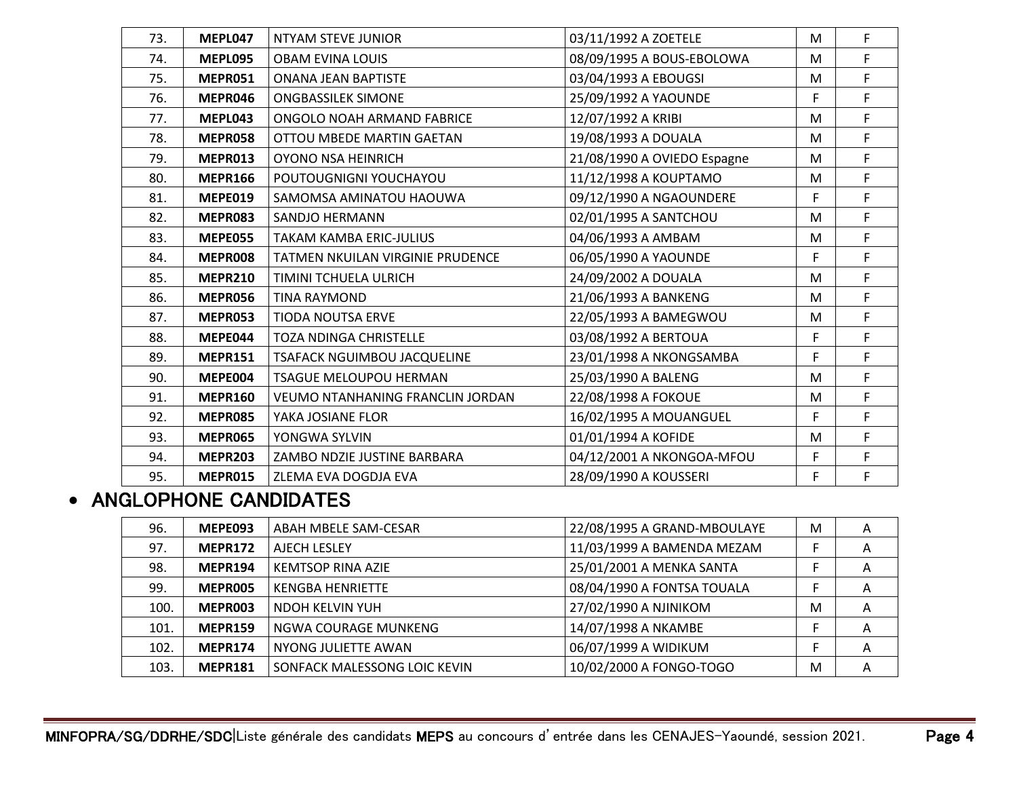| 73. | MEPL047        | <b>NTYAM STEVE JUNIOR</b>        | 03/11/1992 A ZOETELE        | M | F |
|-----|----------------|----------------------------------|-----------------------------|---|---|
| 74. | <b>MEPL095</b> | <b>OBAM EVINA LOUIS</b>          | 08/09/1995 A BOUS-EBOLOWA   | M | F |
| 75. | MEPR051        | <b>ONANA JEAN BAPTISTE</b>       | 03/04/1993 A EBOUGSI        | M | F |
| 76. | MEPR046        | <b>ONGBASSILEK SIMONE</b>        | 25/09/1992 A YAOUNDE        | F | F |
| 77. | MEPL043        | ONGOLO NOAH ARMAND FABRICE       | 12/07/1992 A KRIBI          | M | F |
| 78. | <b>MEPR058</b> | OTTOU MBEDE MARTIN GAETAN        | 19/08/1993 A DOUALA         | M | F |
| 79. | MEPR013        | OYONO NSA HEINRICH               | 21/08/1990 A OVIEDO Espagne | M | F |
| 80. | <b>MEPR166</b> | POUTOUGNIGNI YOUCHAYOU           | 11/12/1998 A KOUPTAMO       | M | F |
| 81. | <b>MEPE019</b> | SAMOMSA AMINATOU HAOUWA          | 09/12/1990 A NGAOUNDERE     | F | F |
| 82. | MEPR083        | SANDJO HERMANN                   | 02/01/1995 A SANTCHOU       | M | F |
| 83. | <b>MEPE055</b> | <b>TAKAM KAMBA ERIC-JULIUS</b>   | 04/06/1993 A AMBAM          | M | F |
| 84. | MEPR008        | TATMEN NKUILAN VIRGINIE PRUDENCE | 06/05/1990 A YAOUNDE        | F | F |
| 85. | <b>MEPR210</b> | TIMINI TCHUELA ULRICH            | 24/09/2002 A DOUALA         | M | F |
| 86. | MEPR056        | <b>TINA RAYMOND</b>              | 21/06/1993 A BANKENG        | M | F |
| 87. | <b>MEPR053</b> | <b>TIODA NOUTSA ERVE</b>         | 22/05/1993 A BAMEGWOU       | M | F |
| 88. | MEPE044        | <b>TOZA NDINGA CHRISTELLE</b>    | 03/08/1992 A BERTOUA        | F | F |
| 89. | <b>MEPR151</b> | TSAFACK NGUIMBOU JACQUELINE      | 23/01/1998 A NKONGSAMBA     | F | F |
| 90. | MEPE004        | <b>TSAGUE MELOUPOU HERMAN</b>    | 25/03/1990 A BALENG         | M | F |
| 91. | <b>MEPR160</b> | VEUMO NTANHANING FRANCLIN JORDAN | 22/08/1998 A FOKOUE         | M | F |
| 92. | <b>MEPR085</b> | YAKA JOSIANE FLOR                | 16/02/1995 A MOUANGUEL      | F | F |
| 93. | <b>MEPR065</b> | YONGWA SYLVIN                    | 01/01/1994 A KOFIDE         | M | F |
| 94. | <b>MEPR203</b> | ZAMBO NDZIE JUSTINE BARBARA      | 04/12/2001 A NKONGOA-MFOU   | F | F |
| 95. | <b>MEPR015</b> | ZLEMA EVA DOGDJA EVA             | 28/09/1990 A KOUSSERI       | F | F |
|     |                |                                  |                             |   |   |

## • ANGLOPHONE CANDIDATES

| 96.  | MEPE093        | ABAH MBELE SAM-CESAR         | 22/08/1995 A GRAND-MBOULAYE | M | A |
|------|----------------|------------------------------|-----------------------------|---|---|
| 97.  | <b>MEPR172</b> | AJECH LESLEY                 | 11/03/1999 A BAMENDA MEZAM  |   | A |
| 98.  | <b>MEPR194</b> | KEMTSOP RINA AZIE            | 25/01/2001 A MENKA SANTA    |   | A |
| 99.  | MEPR005        | <b>KENGBA HENRIETTE</b>      | 08/04/1990 A FONTSA TOUALA  |   | A |
| 100. | MEPR003        | NDOH KELVIN YUH              | 27/02/1990 A NJINIKOM       | M | A |
| 101. | <b>MEPR159</b> | NGWA COURAGE MUNKENG         | 14/07/1998 A NKAMBE         |   | A |
| 102. | <b>MEPR174</b> | NYONG JULIETTE AWAN          | 06/07/1999 A WIDIKUM        |   | A |
| 103. | <b>MEPR181</b> | SONFACK MALESSONG LOIC KEVIN | 10/02/2000 A FONGO-TOGO     | M | A |